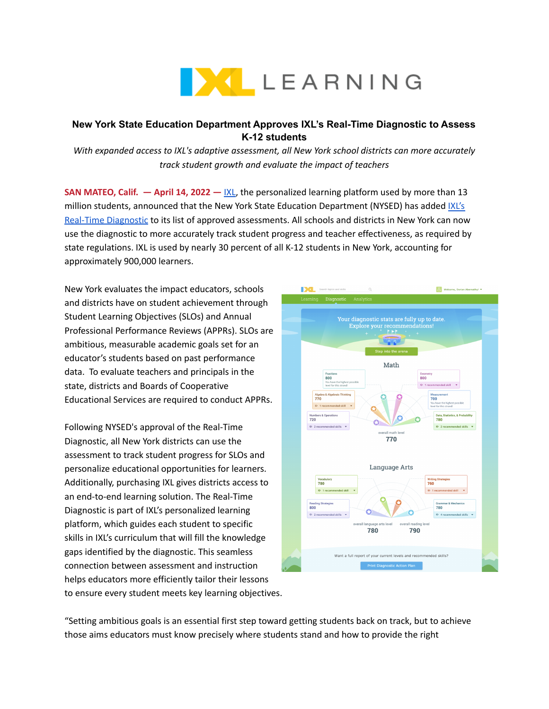

## **New York State Education Department Approves IXL's Real-Time Diagnostic to Assess K-12 students**

*With expanded access to IXL's adaptive assessment, all New York school districts can more accurately track student growth and evaluate the impact of teachers*

**SAN MATEO, Calif. — April 14, 2022 —** [IXL,](https://www.ixl.com/) the personalized learning platform used by more than 13 million students, announced that the New York State Education Department (NYSED) has added [IXL's](https://www.ixl.com/diagnostic/) Real-Time [Diagnostic](https://www.ixl.com/diagnostic/) to its list of approved assessments. All schools and districts in New York can now use the diagnostic to more accurately track student progress and teacher effectiveness, as required by state regulations. IXL is used by nearly 30 percent of all K-12 students in New York, accounting for approximately 900,000 learners.

New York evaluates the impact educators, schools and districts have on student achievement through Student Learning Objectives (SLOs) and Annual Professional Performance Reviews (APPRs). SLOs are ambitious, measurable academic goals set for an educator's students based on past performance data. To evaluate teachers and principals in the state, districts and Boards of Cooperative Educational Services are required to conduct APPRs.

Following NYSED's approval of the Real-Time Diagnostic, all New York districts can use the assessment to track student progress for SLOs and personalize educational opportunities for learners. Additionally, purchasing IXL gives districts access to an end-to-end learning solution. The Real-Time Diagnostic is part of IXL's personalized learning platform, which guides each student to specific skills in IXL's curriculum that will fill the knowledge gaps identified by the diagnostic. This seamless connection between assessment and instruction helps educators more efficiently tailor their lessons to ensure every student meets key learning objectives.



"Setting ambitious goals is an essential first step toward getting students back on track, but to achieve those aims educators must know precisely where students stand and how to provide the right